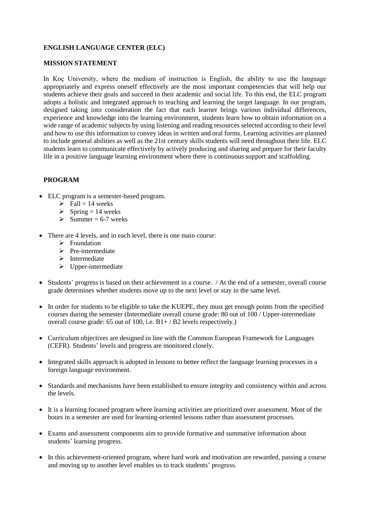# **ENGLISH LANGUAGE CENTER (ELC)**

# **MISSION STATEMENT**

In Koç University, where the medium of instruction is English, the ability to use the language appropriately and express oneself effectively are the most important competencies that will help our students achieve their goals and succeed in their academic and social life. To this end, the ELC program adopts a holistic and integrated approach to teaching and learning the target language. In our program, designed taking into consideration the fact that each learner brings various individual differences, experience and knowledge into the learning environment, students learn how to obtain information on a wide range of academic subjects by using listening and reading resources selected according to their level and how to use this information to convey ideas in written and oral forms. Learning activities are planned to include general abilities as well as the 21st century skills students will need throughout their life. ELC students learn to communicate effectively by actively producing and sharing and prepare for their faculty life in a positive language learning environment where there is continuous support and scaffolding.

# **PROGRAM**

- ELC program is a semester-based program.
	- $\triangleright$  Fall = 14 weeks
	- $\triangleright$  Spring = 14 weeks
	- $\geq$  Summer = 6-7 weeks
- There are 4 levels, and in each level, there is one main course:
	- ➢ Foundation
	- ➢ Pre-intermediate
	- ➢ Intermediate
	- $\triangleright$  Upper-intermediate
- Students' progress is based on their achievement in a course. / At the end of a semester, overall course grade determines whether students move up to the next level or stay in the same level.
- In order for students to be eligible to take the KUEPE, they must get enough points from the specified courses during the semester (Intermediate overall course grade: 80 out of 100 / Upper-intermediate overall course grade: 65 out of 100, i.e. B1+ / B2 levels respectively.)
- Curriculum objectives are designed in line with the Common European Framework for Languages (CEFR). Students' levels and progress are monitored closely.
- Integrated skills approach is adopted in lessons to better reflect the language learning processes in a foreign language environment.
- Standards and mechanisms have been established to ensure integrity and consistency within and across the levels.
- It is a learning focused program where learning activities are prioritized over assessment. Most of the hours in a semester are used for learning-oriented lessons rather than assessment processes.
- Exams and assessment components aim to provide formative and summative information about students' learning progress.
- In this achievement-oriented program, where hard work and motivation are rewarded, passing a course and moving up to another level enables us to track students' progress.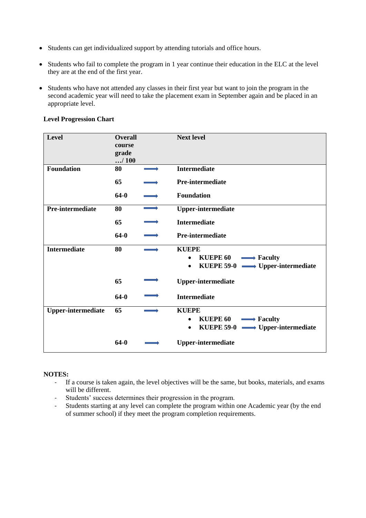- Students can get individualized support by attending tutorials and office hours.
- Students who fail to complete the program in 1 year continue their education in the ELC at the level they are at the end of the first year.
- Students who have not attended any classes in their first year but want to join the program in the second academic year will need to take the placement exam in September again and be placed in an appropriate level.

| Level                     | <b>Overall</b><br>course<br>grade<br>/100 | <b>Next level</b>                                                                                                               |
|---------------------------|-------------------------------------------|---------------------------------------------------------------------------------------------------------------------------------|
| <b>Foundation</b>         | 80                                        | <b>Intermediate</b>                                                                                                             |
|                           | 65                                        | <b>Pre-intermediate</b>                                                                                                         |
|                           | $64-0$                                    | Foundation                                                                                                                      |
| Pre-intermediate          | 80                                        | <b>Upper-intermediate</b>                                                                                                       |
|                           | 65                                        | <b>Intermediate</b>                                                                                                             |
|                           | $64-0$                                    | Pre-intermediate                                                                                                                |
| <b>Intermediate</b>       | 80                                        | <b>KUEPE</b><br>KUEPE $60 \longrightarrow$ Faculty<br>$\bullet$<br>KUEPE 59-0 $\longrightarrow$ Upper-intermediate<br>$\bullet$ |
|                           | 65                                        | <b>Upper-intermediate</b>                                                                                                       |
|                           | $64-0$                                    | <b>Intermediate</b>                                                                                                             |
| <b>Upper-intermediate</b> | 65                                        | <b>KUEPE</b><br>KUEPE $60 \longrightarrow$ Faculty<br>$\bullet$<br>KUEPE 59-0 $\longrightarrow$ Upper-intermediate<br>$\bullet$ |
|                           | 64-0                                      | <b>Upper-intermediate</b>                                                                                                       |

#### **Level Progression Chart**

# **NOTES:**

- If a course is taken again, the level objectives will be the same, but books, materials, and exams will be different.
- Students' success determines their progression in the program.
- Students starting at any level can complete the program within one Academic year (by the end of summer school) if they meet the program completion requirements.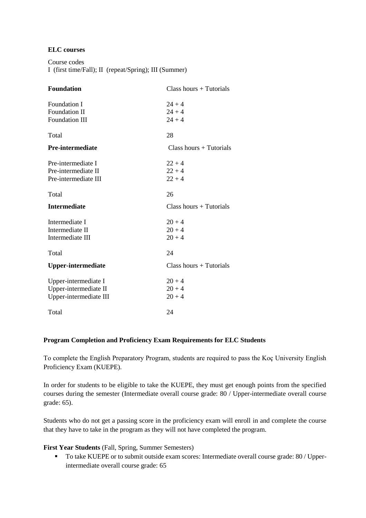# **ELC courses**

```
Course codes 
I (first time/Fall); II (repeat/Spring); III (Summer)
```

| <b>Foundation</b>         | $Class hours + Tutorials$ |
|---------------------------|---------------------------|
| <b>Foundation I</b>       | $24 + 4$                  |
| Foundation II             | $24 + 4$                  |
| <b>Foundation III</b>     | $24 + 4$                  |
| Total                     | 28                        |
| <b>Pre-intermediate</b>   | $Class hours + Tutorials$ |
| Pre-intermediate I        | $22 + 4$                  |
| Pre-intermediate II       | $22 + 4$                  |
| Pre-intermediate III      | $22 + 4$                  |
| Total                     | 26                        |
| <b>Intermediate</b>       | $Class hours + Tutorials$ |
| Intermediate I            | $20 + 4$                  |
| Intermediate II           | $20 + 4$                  |
| Intermediate III          | $20 + 4$                  |
| Total                     | 24                        |
| <b>Upper-intermediate</b> | $Class hours + Tutorials$ |
| Upper-intermediate I      | $20 + 4$                  |
|                           |                           |
| Upper-intermediate II     | $20 + 4$                  |
| Upper-intermediate III    | $20 + 4$                  |

# **Program Completion and Proficiency Exam Requirements for ELC Students**

To complete the English Preparatory Program, students are required to pass the Koç University English Proficiency Exam (KUEPE).

In order for students to be eligible to take the KUEPE, they must get enough points from the specified courses during the semester (Intermediate overall course grade: 80 / Upper-intermediate overall course grade: 65).

Students who do not get a passing score in the proficiency exam will enroll in and complete the course that they have to take in the program as they will not have completed the program.

**First Year Students** (Fall, Spring, Summer Semesters)

■ To take KUEPE or to submit outside exam scores: Intermediate overall course grade: 80 / Upperintermediate overall course grade: 65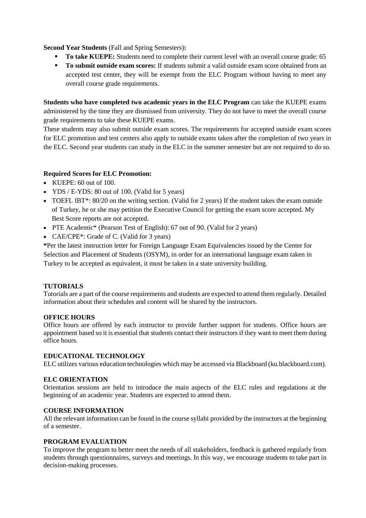# **Second Year Students** (Fall and Spring Semesters)**:**

- **To take KUEPE:** Students need to complete their current level with an overall course grade: 65
- **To submit outside exam scores:** If students submit a valid outside exam score obtained from an accepted test center, they will be exempt from the ELC Program without having to meet any overall course grade requirements.

**Students who have completed two academic years in the ELC Program** can take the KUEPE exams administered by the time they are dismissed from university. They do not have to meet the overall course grade requirements to take these KUEPE exams.

These students may also submit outside exam scores. The requirements for accepted outside exam scores for ELC promotion and test centers also apply to outside exams taken after the completion of two years in the ELC. Second year students can study in the ELC in the summer semester but are not required to do so.

# **Required Scores for ELC Promotion:**

- KUEPE:  $60$  out of 100.
- YDS / E-YDS: 80 out of 100. (Valid for 5 years)
- TOEFL IBT\*: 80/20 on the writing section. (Valid for 2 years) If the student takes the exam outside of Turkey, he or she may petition the Executive Council for getting the exam score accepted. My Best Score reports are not accepted.
- PTE Academic<sup>\*</sup> (Pearson Test of English): 67 out of 90. (Valid for 2 years)
- CAE/CPE<sup>\*</sup>: Grade of C. (Valid for 3 years)

**\***Per the latest instruction letter for Foreign Language Exam Equivalencies issued by the Center for Selection and Placement of Students (OSYM), in order for an international language exam taken in Turkey to be accepted as equivalent, it must be taken in a state university building.

# **TUTORIALS**

Tutorials are a part of the course requirements and students are expected to attend them regularly. Detailed information about their schedules and content will be shared by the instructors.

# **OFFICE HOURS**

Office hours are offered by each instructor to provide further support for students. Office hours are appointment based so it is essential that students contact their instructors if they want to meet them during office hours.

# **EDUCATIONAL TECHNOLOGY**

ELC utilizes various education technologies which may be accessed via Blackboard (ku.blackboard.com).

# **ELC ORIENTATION**

Orientation sessions are held to introduce the main aspects of the ELC rules and regulations at the beginning of an academic year. Students are expected to attend them.

# **COURSE INFORMATION**

All the relevant information can be found in the course syllabi provided by the instructors at the beginning of a semester.

# **PROGRAM EVALUATION**

To improve the program to better meet the needs of all stakeholders, feedback is gathered regularly from students through questionnaires, surveys and meetings. In this way, we encourage students to take part in decision-making processes.